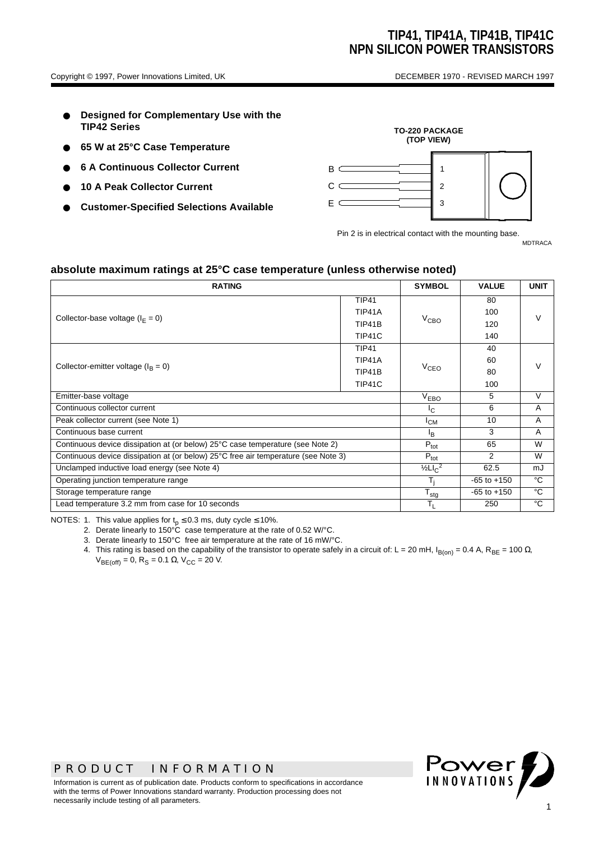- **Designed for Complementary Use with the TIP42 Series**
- **65 W at 25°C Case Temperature**
- **6 A Continuous Collector Current**
- **10 A Peak Collector Current**
- **Customer-Specified Selections Available**



Pin 2 is in electrical contact with the mounting base. MDTRACA

**absolute maximum ratings at 25°C case temperature (unless otherwise noted)**

| <b>RATING</b>                                                                      |                  |                  | <b>VALUE</b>    | <b>UNIT</b>   |  |
|------------------------------------------------------------------------------------|------------------|------------------|-----------------|---------------|--|
|                                                                                    | <b>TIP41</b>     |                  | 80              |               |  |
| Collector-base voltage ( $I_F = 0$ )                                               | TIP41A           |                  | 100             | $\mathcal{U}$ |  |
|                                                                                    | TIP41B           | $V_{\text{CBO}}$ | 120             |               |  |
|                                                                                    | TIP41C           |                  | 140             |               |  |
|                                                                                    | <b>TIP41</b>     |                  | 40              |               |  |
| Collector-emitter voltage ( $I_B = 0$ )                                            | TIP41A           |                  | 60              |               |  |
|                                                                                    | TIP41B           | $V_{CEO}$        | 80              |               |  |
|                                                                                    | TIP41C           |                  | 100             |               |  |
| Emitter-base voltage                                                               | $V_{EBO}$        | 5                | V               |               |  |
| Continuous collector current                                                       | $I_{\rm C}$      | 6                | A               |               |  |
| Peak collector current (see Note 1)                                                | $I_{CM}$         | 10               | $\overline{A}$  |               |  |
| Continuous base current                                                            | <sup>I</sup> B   | 3                | A               |               |  |
| Continuous device dissipation at (or below) 25°C case temperature (see Note 2)     |                  |                  | 65              | W             |  |
| Continuous device dissipation at (or below) 25°C free air temperature (see Note 3) |                  |                  | 2               | W             |  |
| Unclamped inductive load energy (see Note 4)                                       |                  |                  | 62.5            | mJ            |  |
| Operating junction temperature range                                               |                  |                  | $-65$ to $+150$ | °C            |  |
| Storage temperature range                                                          | $T_{\text{stg}}$ | $-65$ to $+150$  | °C              |               |  |
| Lead temperature 3.2 mm from case for 10 seconds                                   | $T_{\rm L}$      | 250              | °C              |               |  |

NOTES: 1. This value applies for  $t_p \le 0.3$  ms, duty cycle  $\le 10\%$ .

2. Derate linearly to 150°C case temperature at the rate of 0.52 W/°C.

3. Derate linearly to 150°C free air temperature at the rate of 16 mW/°C.

4. This rating is based on the capability of the transistor to operate safely in a circuit of: L = 20 mH, I<sub>B(on)</sub> = 0.4 A, R<sub>BE</sub> = 100 Ω,  $V_{BE(off)} = 0$ , R<sub>S</sub> = 0.1 Ω, V<sub>CC</sub> = 20 V.

## *PRODUCT INFORMATION*

Information is current as of publication date. Products conform to specifications in accordance with the terms of Power Innovations standard warranty. Production processing does not necessarily include testing of all parameters.

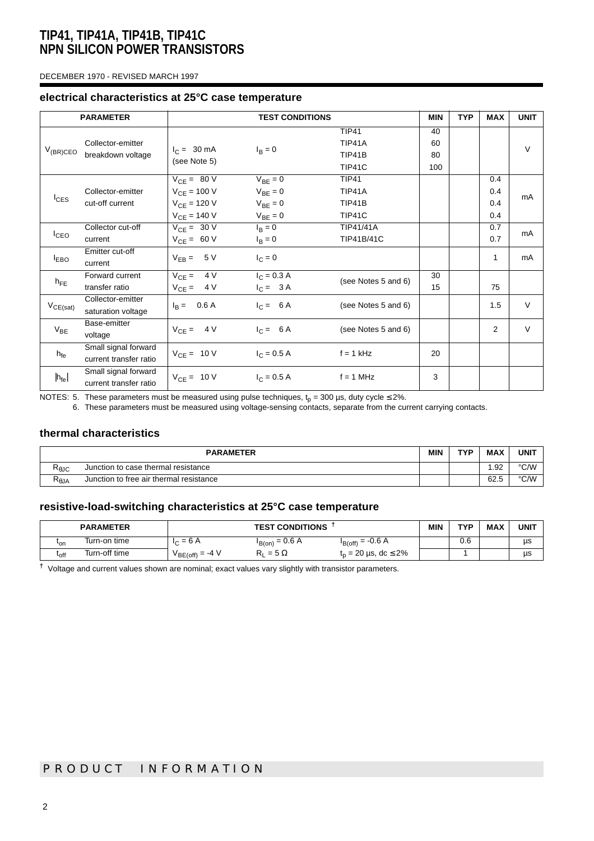#### DECEMBER 1970 - REVISED MARCH 1997

#### **electrical characteristics at 25°C case temperature**

| <b>PARAMETER</b><br><b>TEST CONDITIONS</b> |                                                | <b>MIN</b>                                                                  | <b>TYP</b>                                                   | <b>MAX</b>                                        | <b>UNIT</b>           |  |                          |        |
|--------------------------------------------|------------------------------------------------|-----------------------------------------------------------------------------|--------------------------------------------------------------|---------------------------------------------------|-----------------------|--|--------------------------|--------|
| $V_{(BR)CEO}$                              | Collector-emitter<br>breakdown voltage         | $I_C = 30 \text{ mA}$<br>(see Note 5)                                       | $I_B = 0$                                                    | <b>TIP41</b><br><b>TIP41A</b><br>TIP41B<br>TIP41C | 40<br>60<br>80<br>100 |  |                          | $\vee$ |
| $I_{CES}$                                  | Collector-emitter<br>cut-off current           | $V_{CE}$ = 80 V<br>$V_{CE} = 100 V$<br>$V_{CE} = 120 V$<br>$V_{CE} = 140 V$ | $V_{BE} = 0$<br>$V_{BE} = 0$<br>$V_{BE} = 0$<br>$V_{BE} = 0$ | <b>TIP41</b><br>TIP41A<br><b>TIP41B</b><br>TIP41C |                       |  | 0.4<br>0.4<br>0.4<br>0.4 | mA     |
| $I_{\text{CEO}}$                           | Collector cut-off<br>current                   | $V_{CE} = 30 V$<br>$V_{CE} = 60 V$                                          | $I_B = 0$<br>$I_B = 0$                                       | TIP41/41A<br><b>TIP41B/41C</b>                    |                       |  | 0.7<br>0.7               | mA     |
| $I_{EBO}$                                  | Emitter cut-off<br>current                     | $V_{EB} = 5 V$                                                              | $I_C = 0$                                                    |                                                   |                       |  | 1                        | mA     |
| $h_{FE}$                                   | Forward current<br>transfer ratio              | $V_{CE} = 4V$<br>$V_{CE} = 4 V$                                             | $I_C = 0.3 A$<br>$I_C = 3A$                                  | (see Notes 5 and 6)                               | 30<br>15              |  | 75                       |        |
| $V_{CE(sat)}$                              | Collector-emitter<br>saturation voltage        | $I_B = 0.6 A$                                                               | $I_C = 6A$                                                   | (see Notes 5 and 6)                               |                       |  | 1.5                      | $\vee$ |
| $V_{BE}$                                   | Base-emitter<br>voltage                        | $V_{CE} = 4 V$                                                              | $I_C = 6A$                                                   | (see Notes 5 and 6)                               |                       |  | $\overline{2}$           | $\vee$ |
| $h_{fe}$                                   | Small signal forward<br>current transfer ratio | $V_{CE} = 10 V$                                                             | $I_C = 0.5 A$                                                | $f = 1$ kHz                                       | 20                    |  |                          |        |
| $ h_{fe} $                                 | Small signal forward<br>current transfer ratio | $V_{CE} = 10 V$                                                             | $I_C = 0.5 A$                                                | $f = 1$ MHz                                       | 3                     |  |                          |        |

NOTES: 5. These parameters must be measured using pulse techniques,  ${\rm t_p}$  = 300 µs, duty cycle ≤ 2%.

6. These parameters must be measured using voltage-sensing contacts, separate from the current carrying contacts.

### **thermal characteristics**

| <b>PARAMETER</b>           |                                         |  | TVD | <b>MAX</b> | <b>UNIT</b> |
|----------------------------|-----------------------------------------|--|-----|------------|-------------|
| Ւ⊕JC                       | Junction to case thermal resistance     |  |     | .92        | °C/W        |
| $\mathsf{R}_\mathsf{0}$ JA | Junction to free air thermal resistance |  |     | 62.5       | °C/W        |

#### **resistive-load-switching characteristics at 25°C case temperature**

|                  | <b>PARAMETER</b> | <b>TEST CONDITIONS</b> |                     |                                    | <b>MIN</b> | TYP | <b>MAX</b> | <b>UNIT</b> |
|------------------|------------------|------------------------|---------------------|------------------------------------|------------|-----|------------|-------------|
| ւ <sub>on</sub>  | Turn-on time     | $= 6 A$<br>$\sim$      | $I_{B(0n)} = 0.6 A$ | $I_{B(off)} = -0.6 A$              |            | 0.6 |            | us          |
| <sup>L</sup> off | Turn-off time    | $V_{BE(off)} = -4 V$   | $= 5 \Omega$        | $t_n = 20 \,\mu s, \, dc \leq 2\%$ |            |     |            | μs          |

**†** Voltage and current values shown are nominal; exact values vary slightly with transistor parameters.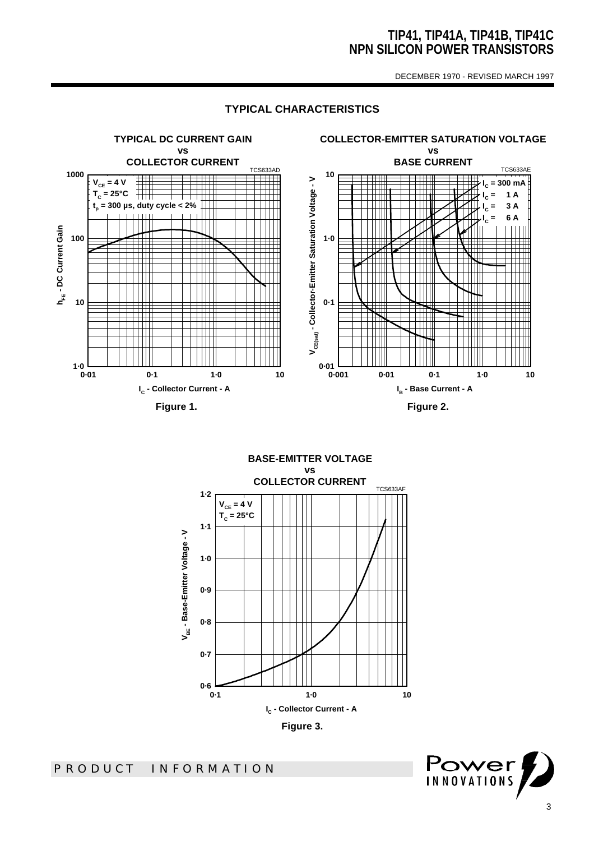DECEMBER 1970 - REVISED MARCH 1997

### **TYPICAL CHARACTERISTICS**



**BASE-EMITTER VOLTAGE vs COLLECTOR CURRENT** TCS633AF **1·2**  $V_{CE} = 4 V$ **TC = 25°C1·1** V<sub>BE</sub> - Base-Emitter Voltage - V **VBE - Base-Emitter Voltage - V 1·0 0·9 0·8 0·7** ط 0.6<br>1∙0 **0·1 1·0 10 IC - Collector Current - A Figure 3.** 

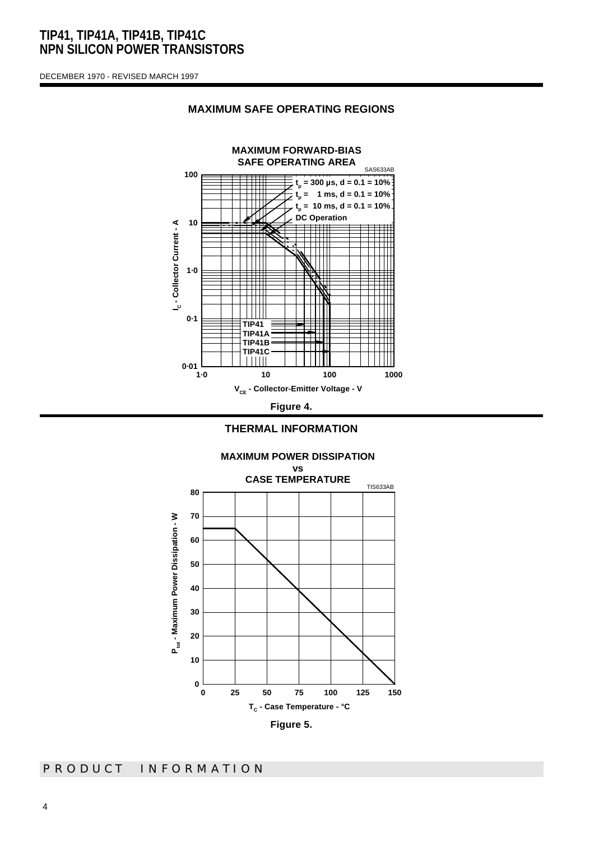DECEMBER 1970 - REVISED MARCH 1997



#### **MAXIMUM SAFE OPERATING REGIONS**



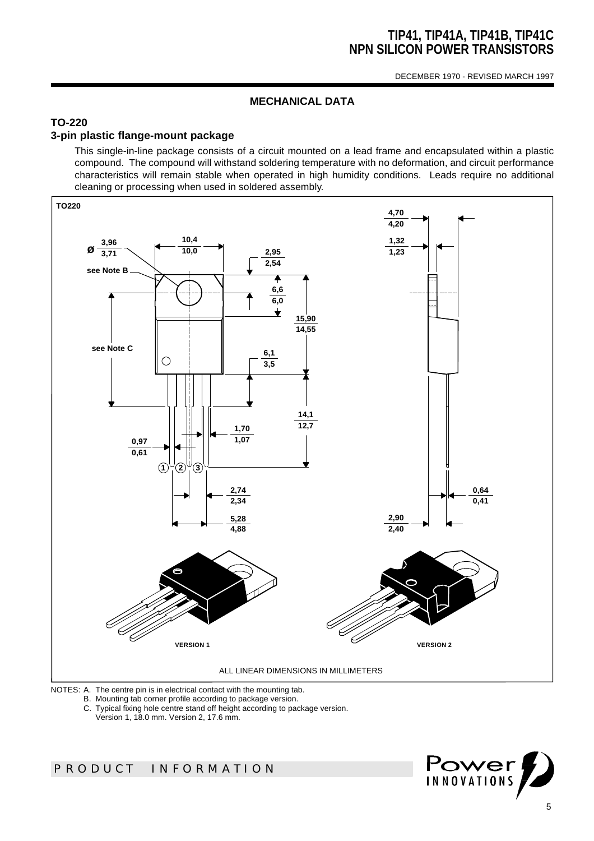DECEMBER 1970 - REVISED MARCH 1997

## **MECHANICAL DATA**

## **TO-220**

### **3-pin plastic flange-mount package**

This single-in-line package consists of a circuit mounted on a lead frame and encapsulated within a plastic compound. The compound will withstand soldering temperature with no deformation, and circuit performance characteristics will remain stable when operated in high humidity conditions. Leads require no additional cleaning or processing when used in soldered assembly.



NOTES: A. The centre pin is in electrical contact with the mounting tab.

- B. Mounting tab corner profile according to package version.
- C. Typical fixing hole centre stand off height according to package version.

Version 1, 18.0 mm. Version 2, 17.6 mm.